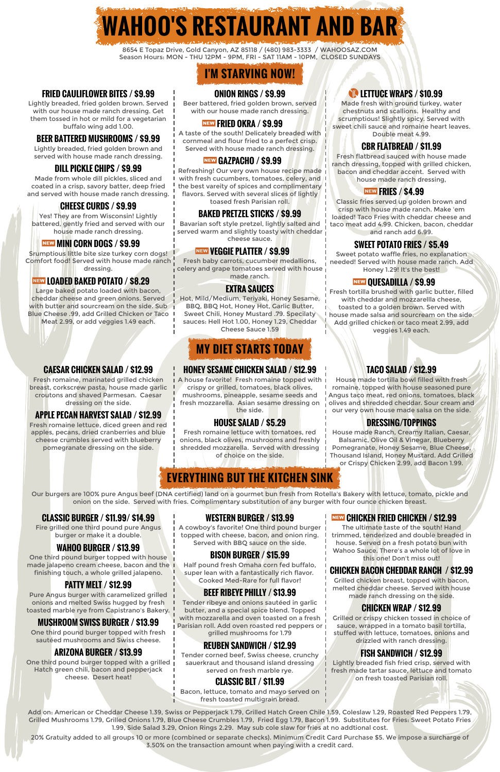**WAHOO'S RESTAURANT AND BAR**

8654 E Topaz Drive, Gold Canyon, AZ 85118 / (480) 983-3333 / WAHOOSAZ.COM Season Hours: MON - THU 12PM - 9PM, FRI - SAT 11AM - 10PM, CLOSED SUNDAYS

# **I'M STARVING NOW!**

### **FRIED CAULIFLOWER BITES / \$9.99**

Lightly breaded, fried golden brown. Served with our house made ranch dressing. Get them tossed in hot or mild for a vegetarian buffalo wing add 1.00.

### **ONION RINGS / \$9.99**

Beer battered, fried golden brown, served with our house made ranch dressing.

### **<u>NEW FRIED OKRA / \$9.99</u>**

# U**LETTUCE WRAPS / \$10.99**

Made fresh with ground turkey, water chestnuts and scallions. Healthy and scrumptious! Slightly spicy. Served with sweet chili sauce and romaine heart leaves. Double meat 4.99.

### **BEER BATTERED MUSHROOMS / \$9.99**

Lightly breaded, fried golden brown and served with house made ranch dressing. A taste of the south! Delicately breaded with cornmeal and flour fried to a perfect crisp. Served with house made ranch dressing. **CBR FLATBREAD / \$11.99**

## **NEW GAZPACHO / \$9.99**

Bavarian soft style pretzel, lightly salted and served warm and slightly toasty with cheddar

Fresh flatbread sauced with house made ranch dressing, topped with grilled chicken, bacon and cheddar accent. Served with house made ranch dressing,

### **NEW FRIES / \$4.99**

### **DILL PICKLE CHIPS / \$9.99**

Fresh baby carrots, cucumber medallions, celery and grape tomatoes served with house

Made from whole dill pickles, sliced and coated in a crisp, savory batter, deep fried and served with house made ranch dressing. Refreshing! Our very own house recipe made with fresh cucumbers, tomatoes, celery, and I the best vareity of spices and complimentary flavors. Served with several slices of lightly toased fresh Parisian roll.

Classic fries served up golden brown and crisp with house made ranch. Make 'em loaded! Taco Fries with cheddar cheese and taco meat add 4.99. Chicken, bacon, cheddar and ranch add 6.99.

### **CHEESE CURDS / \$9.99**

I A house favorite! Fresh romaine topped with I crispy or grilled, tomatoes, black olives, mushrooms, pineapple, sesame seeds and fresh mozzarella. Asian sesame dressing on the side.

Yes! They are from Wisconsin! Lightly battered, gently fried and served with our house made ranch dressing.

## **NEW MINI CORN DOGS / \$9.99**

## **BAKED PRETZEL STICKS / \$9.99**

# cheese sauce. **SWEET POTATO FRIES / \$5.49**

Sweet potato waffle fries, no explanation needed! Served with house made ranch. Add Honey 1.29! It's the best!

# made ranch. **All the set of the set of the set of the set of the set of the set of the set of the set of the set of the set of the set of the set of the set of the set of the set of the set of the set of the set of the set**

Srumptious little bite size turkey corn dogs! Comfort food! Served with house made ranch dressing.

### **NEW LOADED BAKED POTATO / \$8.29**

### ,**VEGGIE PLATTER / \$9.99**

Fresh tortilla brushed with garlic butter, filled with cheddar and mozzarellla cheese, toasted to a golden brown. Served with I house made salsa and sourcream on the side. Add grilled chicken or taco meat 2.99, add veggies 1.49 each.

One third pound burger topped with house made jalapeno cream cheese, bacon and the Half pound fresh Omaha corn fed buffalo,

Large baked potato loaded with bacon, cheddar cheese and green onions. Served with butter and sourcream on the side. Sub Blue Cheese .99, add Grilled Chicken or Taco Meat 2.99, or add veggies 1.49 each.

### **EXTRA SAUCES**

Hot, Mild/Medium, Teriyaki, Honey Sesame, BBQ, BBQ Hot, Honey Hot, Garlic Butter, Sweet Chili, Honey Mustard .79. Specilaty sauces: Hell Hot 1.00, Honey 1.29, Cheddar Cheese Sauce 1.59

# **MY DIET STARTS TODAY**

**CAESAR CHICKEN SALAD / \$12.99**

Fresh romaine, marinated grilled chicken breast, corkscrew pasta, house made garlic croutons and shaved Parmesan. Caesar dressing on the side.

# APPLE PECAN HARVEST SALAD / \$12.99 | the side. **APPLE PECAN HARVEST SALAD / \$12.99** | the side.

### **HONEY SESAME CHICKEN SALAD / \$12.99**

# **TACO SALAD / \$12.99**

House made tortilla bowl filled with fresh romaine, topped with house seasoned pure Angus taco meat, red onions, tomatoes, black olives and shredded cheddar. Sour cream and

Fresh romaine lettuce, diced green and red apples, pecans, dried cranberries and blue cheese crumbles served with blueberry pomegranate dressing on the side.

## **HOUSE SALAD / \$5.29**

Fresh romaine lettuce with tomatoes, red onions, black olives, mushrooms and freshly shredded mozzarella. Served with dressing of choice on the side.

## **DRESSING/TOPPINGS**

House made Ranch, Creamy Italian, Caesar, Balsamic, Olive Oil & Vinegar, Blueberry Pomegranate, Honey Sesame, Blue Cheese, Thousand Island, Honey Mustard. Add Grilled or Crispy Chicken 2.99, add Bacon 1.99.

# **EVERYTHING BUT THE KITCHEN SINK**

Our burgers are 100% pure Angus beef (DNA certified) land on a gourmet bun fresh from Rotella's Bakery with lettuce, tomato, pickle and onion on the side. Served with fries. Complimentary substitution of any burger with four ounce chicken breast.

### **CLASSIC BURGER / \$11.99/ \$14.99**

Fire grilled one third pound pure Angus burger or make it a double.

### **WESTERN BURGER / \$13.99**

A cowboy's favorite! One third pound burger topped with cheese, bacon, and onion ring. Served with BBQ sauce on the side.

The ultimate taste of the south! Hand trimmed, tenderized and double breaded in house. Served on a fresh potato bun with Wahoo Sauce. There's a whole lot of love in this one! Don't miss out!

## **WAHOO BURGER / \$13.99**

finishing touch, a whole grilled jalapeno.

# **BISON BURGER / \$15.99**

### **NEW CHICKEN FRIED CHICKEN / \$12.99**

super lean with a fantastically rich flavor. Cooked Med-Rare for full flavor!

### **CHICKEN BACON CHEDDAR RANCH / \$12.99**

Grilled chicken breast, topped with bacon, melted cheddar cheese. Served with house made ranch dressing on the side.

# **PATTY MELT / \$12.99**

Pure Angus burger with caramelized grilled onions and melted Swiss hugged by fresh toasted marble rye from Capistrano's Bakery.

# **BEEF RIBEYE PHILLY / \$13.99**

Tender ribeye and onions sautéed in garlic butter, and a special spice blend. Topped with mozzarella and oven toasted on a fresh Parisian roll. Add oven roasted red peppers or i grilled mushrooms for 1.79

## **CHICKEN WRAP / \$12.99**

Grilled or crispy chicken tossed in choice of sauce, wrapped in a tomato basil tortilla, stuffed with lettuce, tomatoes, onions and drizzled with ranch dressing.

# **MUSHROOM SWISS BURGER / \$13.99**

One third pound burger topped with fresh<br>sautéed mushrooms and Swiss cheese.

# sautéed mushrooms and Swiss cheese. **REUBEN SANDWICH / \$12.99**

Tender corned beef, Swiss cheese, crunchy sauerkraut and thousand island dressing served on fresh marble rye.

# **FISH SANDWICH / \$12.99**

Lightly breaded fish fried crisp, served with fresh made tartar sauce, lettuce and tomato on fresh toasted Parisian roll.

# **ARIZONA BURGER / \$13.99**

One third pound burger topped with a grilled Hatch green chili, bacon and pepperjack cheese. Desert heat! **CLASSIC BLT / \$11.99**

> Bacon, lettuce, tomato and mayo served on fresh toasted multigrain bread.

Add on: American or Cheddar Cheese 1.39, Swiss or Pepperjack 1.79, Grilled Hatch Green Chile 1.59, Coleslaw 1.29, Roasted Red Peppers 1.79, Grilled Mushrooms 1.79, Grilled Onions 1.79, Blue Cheese Crumbles 1.79, Fried Egg 1.79, Bacon 1.99. Substitutes for Fries: Sweet Potato Fries 1.99, Side Salad 3.29, Onion Rings 2.29. May sub cole slaw for fries at no addtional cost.

20% Gratuity added to all groups 10 or more (combined or separate checks). Minimum Credit Card Purchase \$5. We impose a surcharge of 3.50% on the transaction amount when paying with a credit card.